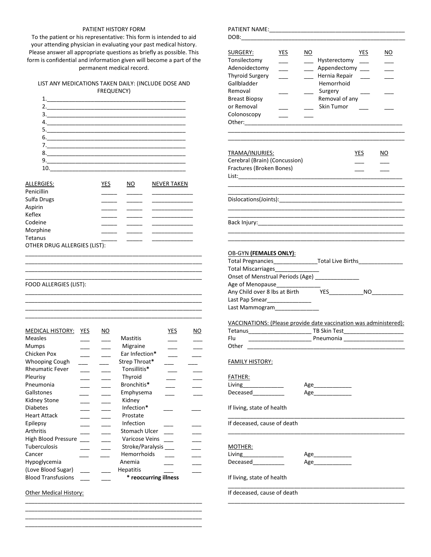## PATIENT HISTORY FORM

To the patient or his representative: This form is intended to aid your attending physician in evaluating your past medical history. Please answer all appropriate questions as briefly as possible. This form is confidential and information given will become a part of the permanent medical record.

## LIST ANY MEDICATIONS TAKEN DAILY: (INCLUDE DOSE AND FREQUENCY)



| ALLERGIES:                   | YES | NO | <b>NEVER TAKEN</b> |
|------------------------------|-----|----|--------------------|
| Penicillin                   |     |    |                    |
| Sulfa Drugs                  |     |    |                    |
| Aspirin                      |     |    |                    |
| Keflex                       |     |    |                    |
| Codeine                      |     |    |                    |
| Morphine                     |     |    |                    |
| Tetanus                      |     |    |                    |
| OTHER DRUG ALLERGIES (LIST): |     |    |                    |
|                              |     |    |                    |

\_\_\_\_\_\_\_\_\_\_\_\_\_\_\_\_\_\_\_\_\_\_\_\_\_\_\_\_\_\_\_\_\_\_\_\_\_\_\_\_\_\_\_\_\_\_\_\_\_\_\_\_\_\_\_\_ \_\_\_\_\_\_\_\_\_\_\_\_\_\_\_\_\_\_\_\_\_\_\_\_\_\_\_\_\_\_\_\_\_\_\_\_\_\_\_\_\_\_\_\_\_\_\_\_\_\_\_\_\_\_\_\_ \_\_\_\_\_\_\_\_\_\_\_\_\_\_\_\_\_\_\_\_\_\_\_\_\_\_\_\_\_\_\_\_\_\_\_\_\_\_\_\_\_\_\_\_\_\_\_\_\_\_\_\_\_\_\_\_

\_\_\_\_\_\_\_\_\_\_\_\_\_\_\_\_\_\_\_\_\_\_\_\_\_\_\_\_\_\_\_\_\_\_\_\_\_\_\_\_\_\_\_\_\_\_\_\_\_\_\_\_\_\_\_\_

\_\_\_\_\_\_\_\_\_\_\_\_\_\_\_\_\_\_\_\_\_\_\_\_\_\_\_\_\_\_\_\_\_\_\_\_\_\_\_\_\_\_\_\_\_\_\_\_\_\_\_\_\_\_\_\_ \_\_\_\_\_\_\_\_\_\_\_\_\_\_\_\_\_\_\_\_\_\_\_\_\_\_\_\_\_\_\_\_\_\_\_\_\_\_\_\_\_\_\_\_\_\_\_\_\_\_\_\_\_\_\_\_

\_\_\_\_\_\_\_\_\_\_\_\_\_\_\_\_\_\_\_\_\_\_\_\_\_\_\_\_\_\_\_\_\_\_\_\_\_\_\_\_\_\_\_\_\_\_\_\_\_\_\_\_\_\_\_\_

 $\overline{\phantom{a}}$  , and the contract of the contract of the contract of the contract of the contract of the contract of the contract of the contract of the contract of the contract of the contract of the contract of the contrac

FOOD ALLERGIES (LIST):

| <b>MEDICAL HISTORY:</b>   | YES | ΝO |                       | YES | NO. |
|---------------------------|-----|----|-----------------------|-----|-----|
| Measles                   |     |    | Mastitis              |     |     |
| Mumps                     |     |    | Migraine              |     |     |
| Chicken Pox               |     |    | Ear Infection*        |     |     |
| <b>Whooping Cough</b>     |     |    | Strep Throat*         |     |     |
| <b>Rheumatic Fever</b>    |     |    | Tonsillitis*          |     |     |
| Pleurisy                  |     |    | Thyroid               |     |     |
| Pneumonia                 |     |    | Bronchitis*           |     |     |
| Gallstones                |     |    | Emphysema             |     |     |
| Kidney Stone              |     |    | Kidney                |     |     |
| <b>Diabetes</b>           |     |    | Infection*            |     |     |
| <b>Heart Attack</b>       |     |    | Prostate              |     |     |
| Epilepsy                  |     |    | Infection             |     |     |
| Arthritis                 |     |    | Stomach Ulcer         |     |     |
| High Blood Pressure       |     |    | Varicose Veins        |     |     |
| <b>Tuberculosis</b>       |     |    | Stroke/Paralysis      |     |     |
| Cancer                    |     |    | Hemorrhoids           |     |     |
| Hypoglycemia              |     |    | Anemia                |     |     |
| (Love Blood Sugar)        |     |    | <b>Hepatitis</b>      |     |     |
| <b>Blood Transfusions</b> |     |    | * reoccurring illness |     |     |
|                           |     |    |                       |     |     |

\_\_\_\_\_\_\_\_\_\_\_\_\_\_\_\_\_\_\_\_\_\_\_\_\_\_\_\_\_\_\_\_\_\_\_\_\_\_\_\_\_\_\_\_\_\_\_\_\_\_\_\_\_\_\_\_ \_\_\_\_\_\_\_\_\_\_\_\_\_\_\_\_\_\_\_\_\_\_\_\_\_\_\_\_\_\_\_\_\_\_\_\_\_\_\_\_\_\_\_\_\_\_\_\_\_\_\_\_\_\_\_\_ \_\_\_\_\_\_\_\_\_\_\_\_\_\_\_\_\_\_\_\_\_\_\_\_\_\_\_\_\_\_\_\_\_\_\_\_\_\_\_\_\_\_\_\_\_\_\_\_\_\_\_\_\_\_\_\_ \_\_\_\_\_\_\_\_\_\_\_\_\_\_\_\_\_\_\_\_\_\_\_\_\_\_\_\_\_\_\_\_\_\_\_\_\_\_\_\_\_\_\_\_\_\_\_\_\_\_\_\_\_\_\_\_

Other Medical History:

## PATIENT NAME:

| DOB:________                                                                                                                                                                                                                                                                                                                                                                         |            |     |                                                                                                        |        |     |
|--------------------------------------------------------------------------------------------------------------------------------------------------------------------------------------------------------------------------------------------------------------------------------------------------------------------------------------------------------------------------------------|------------|-----|--------------------------------------------------------------------------------------------------------|--------|-----|
| SURGERY:<br>Tonsilectomy<br>Adenoidectomy<br><b>Thyroid Surgery</b><br>Gallbladder<br>Removal<br><b>Breast Biopsy</b><br>or Removal<br>Colonoscopy<br>Other: and the control of the control of the control of the control of the control of the control of the control of the control of the control of the control of the control of the control of the control of the control of t | <u>YES</u> | NO. | Hysterectomy<br>Appendectomy<br>Hernia Repair<br>Hemorrhoid<br>Surgery<br>Removal of any<br>Skin Tumor | YES    | NO. |
| TRAMA/INJURIES:<br>Cerebral (Brain) (Concussion)<br>Fractures (Broken Bones)                                                                                                                                                                                                                                                                                                         |            |     |                                                                                                        | YES.   | NO. |
|                                                                                                                                                                                                                                                                                                                                                                                      |            |     |                                                                                                        |        |     |
|                                                                                                                                                                                                                                                                                                                                                                                      |            |     |                                                                                                        |        |     |
| <b>OB-GYN (FEMALES ONLY):</b><br>Total Pregnancies______________________Total Live Births________________________<br>Total Miscarriages_____<br>Onset of Menstrual Periods (Age) ______________<br>Age of Menopause<br>Any Child over 8 lbs at Birth<br>Last Pap Smear_________________<br>Last Mammogram                                                                            |            |     |                                                                                                        | YES NO |     |
| VACCINATIONS: (Please provide date vaccination was administered):                                                                                                                                                                                                                                                                                                                    |            |     |                                                                                                        |        |     |
| Flu<br>Other                                                                                                                                                                                                                                                                                                                                                                         |            |     |                                                                                                        |        |     |
| <u>FAMILY HISTORY:</u><br>FATHER:<br>Living_______________<br>Deceased                                                                                                                                                                                                                                                                                                               |            |     | Age_______________                                                                                     |        |     |
| If living, state of health                                                                                                                                                                                                                                                                                                                                                           |            |     |                                                                                                        |        |     |
| If deceased, cause of death                                                                                                                                                                                                                                                                                                                                                          |            |     |                                                                                                        |        |     |
| <u>MOTHER:</u><br>Living______________<br>Deceased___________<br>If living, state of health                                                                                                                                                                                                                                                                                          |            |     | Age_______________<br>Age________________                                                              |        |     |
| If deceased, cause of death                                                                                                                                                                                                                                                                                                                                                          |            |     |                                                                                                        |        |     |

\_\_\_\_\_\_\_\_\_\_\_\_\_\_\_\_\_\_\_\_\_\_\_\_\_\_\_\_\_\_\_\_\_\_\_\_\_\_\_\_\_\_\_\_\_\_\_\_\_\_\_\_\_\_\_\_